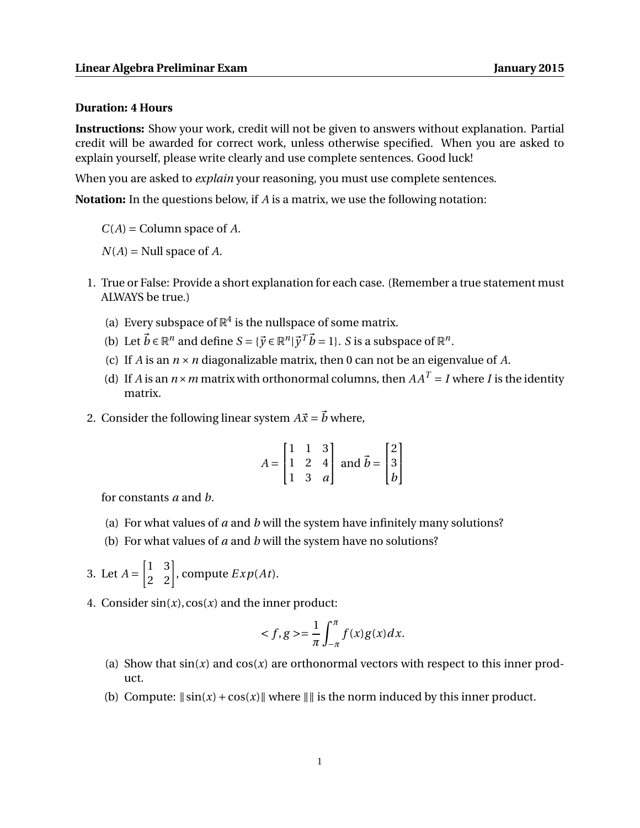## **Duration: 4 Hours**

**Instructions:** Show your work, credit will not be given to answers without explanation. Partial credit will be awarded for correct work, unless otherwise specified. When you are asked to explain yourself, please write clearly and use complete sentences. Good luck!

When you are asked to *explain* your reasoning, you must use complete sentences.

**Notation:** In the questions below, if *A* is a matrix, we use the following notation:

*C*(*A*) = Column space of *A*.

 $N(A)$  = Null space of  $A$ .

- 1. True or False: Provide a short explanation for each case. (Remember a true statement must ALWAYS be true.)
	- (a) Every subspace of  $\mathbb{R}^4$  is the nullspace of some matrix.
	- (b) Let  $\vec{b} \in \mathbb{R}^n$  and define  $S = {\{\vec{y} \in \mathbb{R}^n | \vec{y}^T \vec{b} = 1\}}$ . *S* is a subspace of  $\mathbb{R}^n$ .
	- (c) If *A* is an *n* ×*n* diagonalizable matrix, then 0 can not be an eigenvalue of *A*.
	- (d) If *A* is an  $n \times m$  matrix with orthonormal columns, then  $AA^T = I$  where *I* is the identity matrix.
- 2. Consider the following linear system  $A\vec{x} = \vec{b}$  where,

$$
A = \begin{bmatrix} 1 & 1 & 3 \\ 1 & 2 & 4 \\ 1 & 3 & a \end{bmatrix} \text{ and } \vec{b} = \begin{bmatrix} 2 \\ 3 \\ b \end{bmatrix}
$$

for constants *a* and *b*.

- (a) For what values of *a* and *b* will the system have infinitely many solutions?
- (b) For what values of *a* and *b* will the system have no solutions?

3. Let 
$$
A = \begin{bmatrix} 1 & 3 \\ 2 & 2 \end{bmatrix}
$$
, compute  $Exp(At)$ .

4. Consider  $sin(x)$ ,  $cos(x)$  and the inner product:

$$
\langle f, g \rangle = \frac{1}{\pi} \int_{-\pi}^{\pi} f(x)g(x)dx.
$$

- (a) Show that  $sin(x)$  and  $cos(x)$  are orthonormal vectors with respect to this inner product.
- (b) Compute:  $\|\sin(x) + \cos(x)\|$  where  $\|\|$  is the norm induced by this inner product.